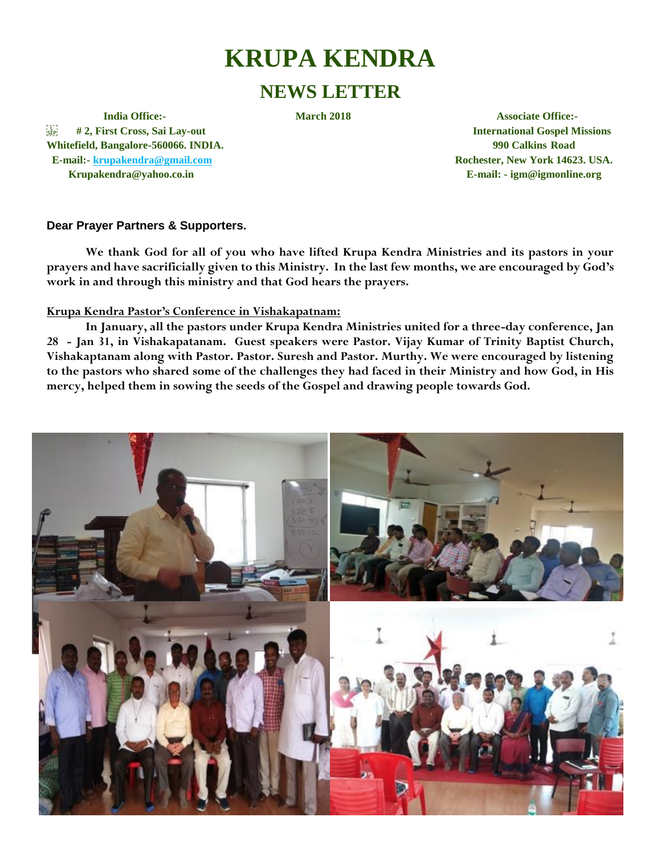# **KRUPA KENDRA**

## **NEWS LETTER**

**EXECTS** 4 2, First Cross, Sai Lay-out **International Gospel Missions Whitefield, Bangalore-560066. INDIA. 990 Calkins Road E-mail:- [krupakendra@gmail.com](mailto:krupakendra@gmail.com) Rochester, New York 14623. USA. Krupakendra@yahoo.co.in E-mail: - igm@igmonline.org**

 **India Office:- March 2018 Associate Office:-**

#### **Dear Prayer Partners & Supporters.**

**We thank God for all of you who have lifted Krupa Kendra Ministries and its pastors in your prayers and have sacrificially given to this Ministry. In the last few months, we are encouraged by God's work in and through this ministry and that God hears the prayers.**

#### **Krupa Kendra Pastor's Conference in Vishakapatnam:**

**In January, all the pastors under Krupa Kendra Ministries united for a three-day conference, Jan 28 - Jan 31, in Vishakapatanam. Guest speakers were Pastor. Vijay Kumar of Trinity Baptist Church, Vishakaptanam along with Pastor. Pastor. Suresh and Pastor. Murthy. We were encouraged by listening to the pastors who shared some of the challenges they had faced in their Ministry and how God, in His mercy, helped them in sowing the seeds of the Gospel and drawing people towards God.** 

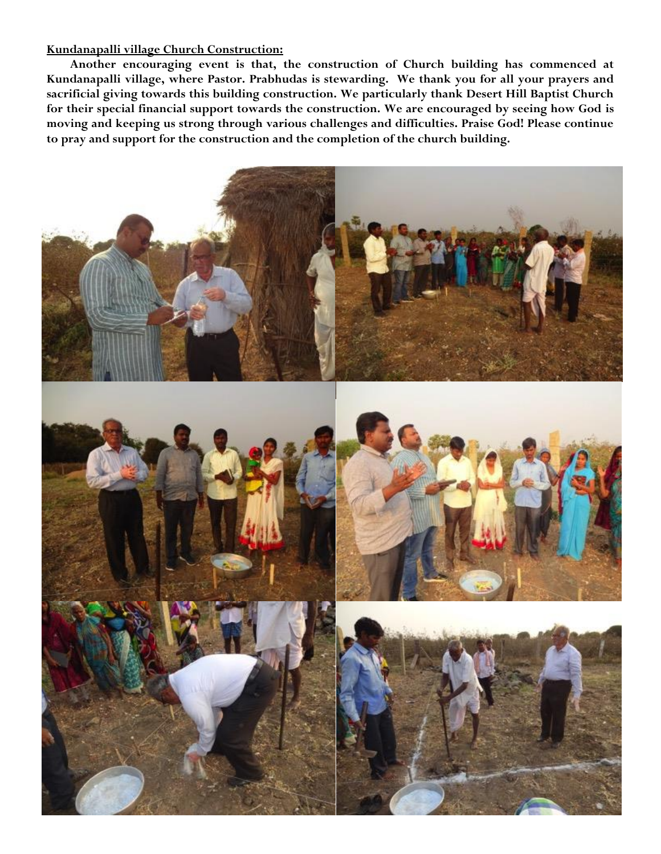#### **Kundanapalli village Church Construction:**

 **Another encouraging event is that, the construction of Church building has commenced at Kundanapalli village, where Pastor. Prabhudas is stewarding. We thank you for all your prayers and sacrificial giving towards this building construction. We particularly thank Desert Hill Baptist Church for their special financial support towards the construction. We are encouraged by seeing how God is moving and keeping us strong through various challenges and difficulties. Praise God! Please continue to pray and support for the construction and the completion of the church building.** 

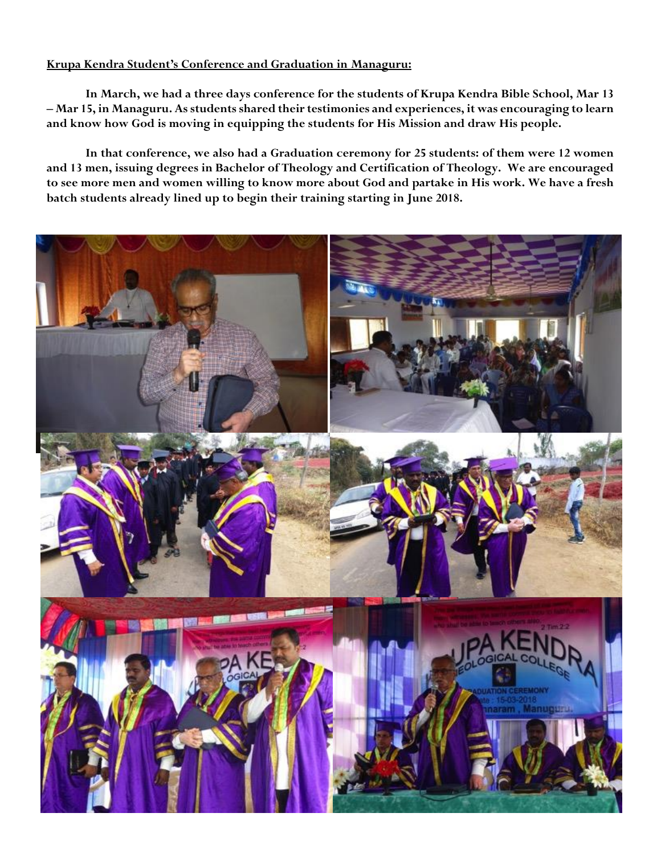#### **Krupa Kendra Student's Conference and Graduation in Managuru:**

**In March, we had a three days conference for the students of Krupa Kendra Bible School, Mar 13 – Mar 15, in Managuru. As students shared their testimonies and experiences, it was encouraging to learn and know how God is moving in equipping the students for His Mission and draw His people.** 

**In that conference, we also had a Graduation ceremony for 25 students: of them were 12 women and 13 men, issuing degrees in Bachelor of Theology and Certification of Theology. We are encouraged to see more men and women willing to know more about God and partake in His work. We have a fresh batch students already lined up to begin their training starting in June 2018.**

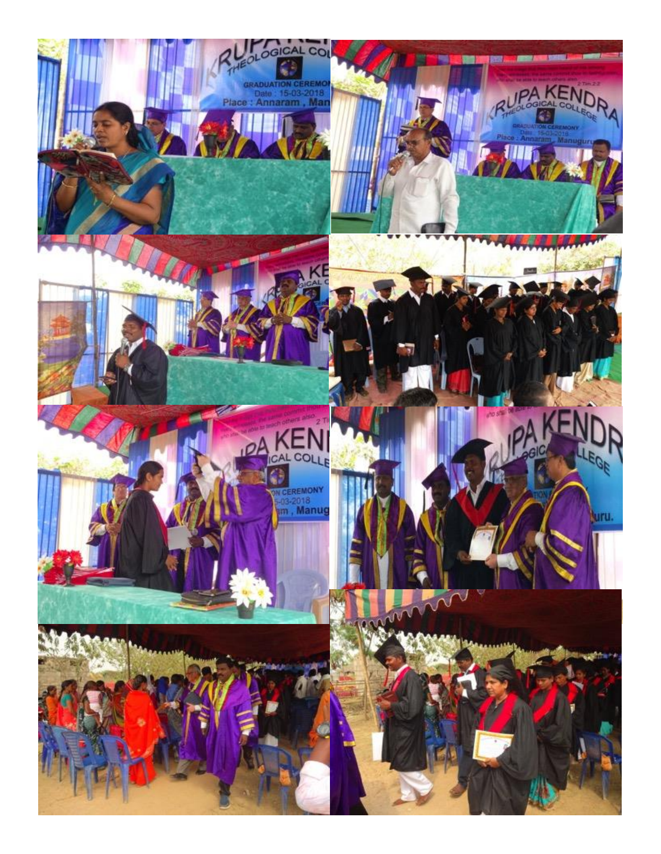